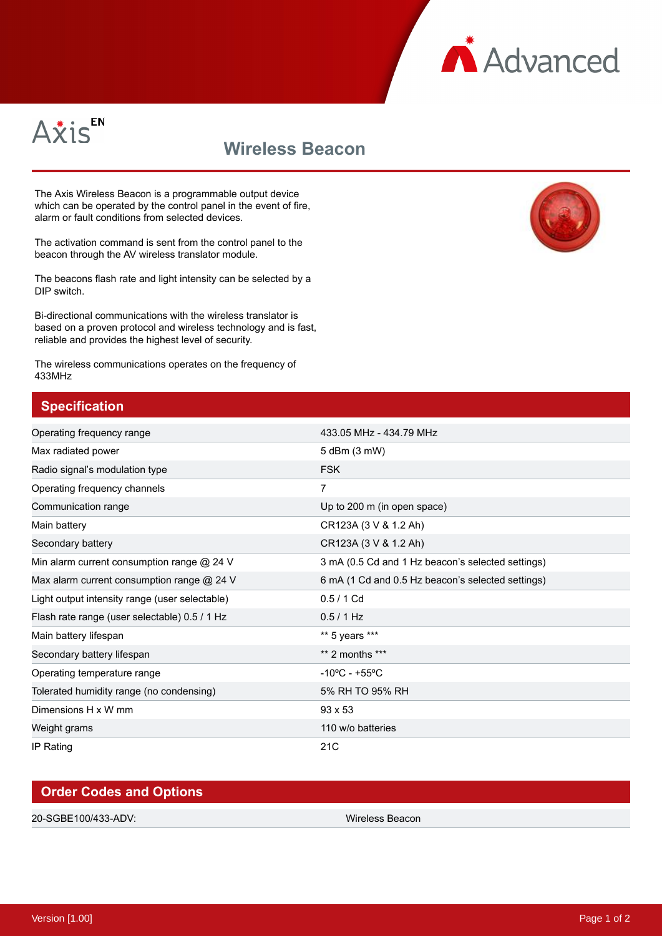



## **Wireless Beacon**

The Axis Wireless Beacon is a programmable output device which can be operated by the control panel in the event of fire, alarm or fault conditions from selected devices.

The activation command is sent from the control panel to the beacon through the AV wireless translator module.

The beacons flash rate and light intensity can be selected by a DIP switch.

Bi-directional communications with the wireless translator is based on a proven protocol and wireless technology and is fast, reliable and provides the highest level of security.

The wireless communications operates on the frequency of 433MHz

## **Specification**

| Operating frequency range                      | 433.05 MHz - 434.79 MHz                           |
|------------------------------------------------|---------------------------------------------------|
| Max radiated power                             | 5 dBm (3 mW)                                      |
| Radio signal's modulation type                 | <b>FSK</b>                                        |
| Operating frequency channels                   | 7                                                 |
| Communication range                            | Up to 200 m (in open space)                       |
| Main battery                                   | CR123A (3 V & 1.2 Ah)                             |
| Secondary battery                              | CR123A (3 V & 1.2 Ah)                             |
| Min alarm current consumption range @ 24 V     | 3 mA (0.5 Cd and 1 Hz beacon's selected settings) |
| Max alarm current consumption range @ 24 V     | 6 mA (1 Cd and 0.5 Hz beacon's selected settings) |
| Light output intensity range (user selectable) | $0.5/1$ Cd                                        |
| Flash rate range (user selectable) 0.5 / 1 Hz  | 0.5 / 1 Hz                                        |
| Main battery lifespan                          | ** 5 years ***                                    |
| Secondary battery lifespan                     | $**$ 2 months $***$                               |
| Operating temperature range                    | $-10^{\circ}$ C - +55 $^{\circ}$ C                |
| Tolerated humidity range (no condensing)       | 5% RH TO 95% RH                                   |
| Dimensions H x W mm                            | $93 \times 53$                                    |
| Weight grams                                   | 110 w/o batteries                                 |
| IP Rating                                      | 21C                                               |

## **Order Codes and Options** 20-SGBE100/433-ADV: Wireless Beacon